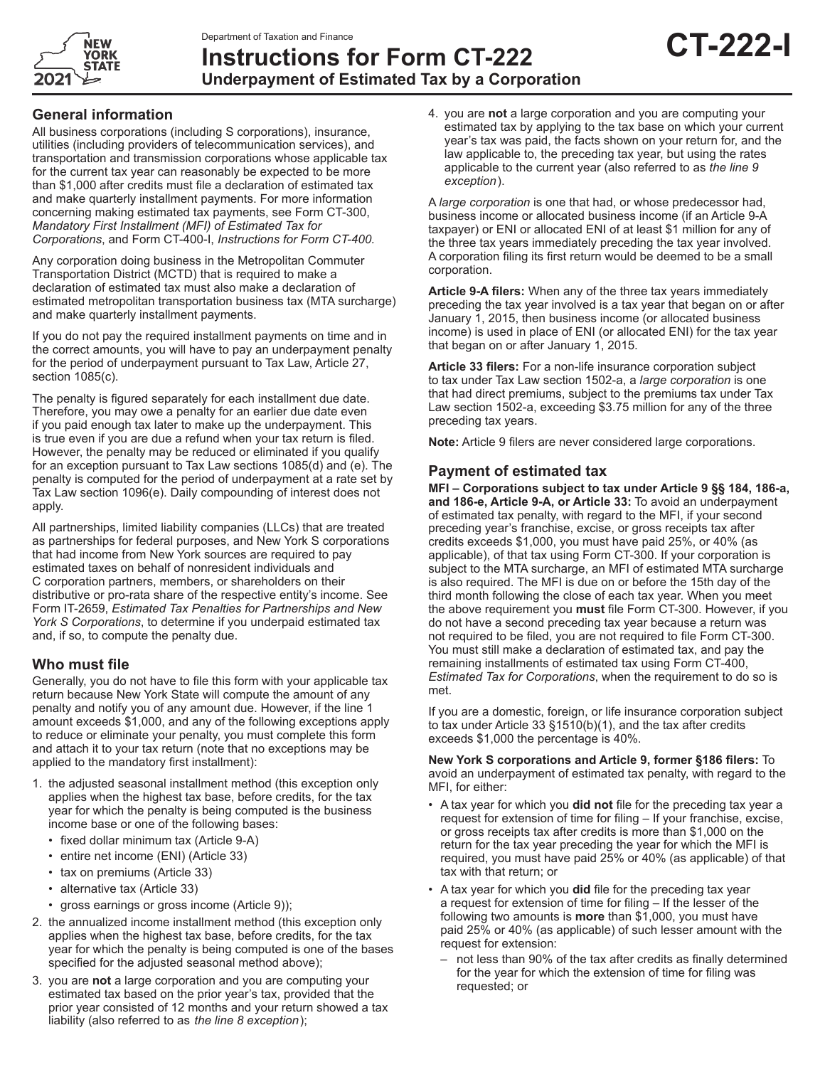

# **Instructions for Form CT-222 Underpayment of Estimated Tax by a Corporation**

## **General information**

All business corporations (including S corporations), insurance, utilities (including providers of telecommunication services), and transportation and transmission corporations whose applicable tax for the current tax year can reasonably be expected to be more than \$1,000 after credits must file a declaration of estimated tax and make quarterly installment payments. For more information concerning making estimated tax payments, see Form CT-300, *Mandatory First Installment (MFI) of Estimated Tax for Corporations*, and Form CT-400-I, *Instructions for Form CT-400.*

Any corporation doing business in the Metropolitan Commuter Transportation District (MCTD) that is required to make a declaration of estimated tax must also make a declaration of estimated metropolitan transportation business tax (MTA surcharge) and make quarterly installment payments.

If you do not pay the required installment payments on time and in the correct amounts, you will have to pay an underpayment penalty for the period of underpayment pursuant to Tax Law, Article 27, section 1085(c).

The penalty is figured separately for each installment due date. Therefore, you may owe a penalty for an earlier due date even if you paid enough tax later to make up the underpayment. This is true even if you are due a refund when your tax return is filed. However, the penalty may be reduced or eliminated if you qualify for an exception pursuant to Tax Law sections 1085(d) and (e). The penalty is computed for the period of underpayment at a rate set by Tax Law section 1096(e). Daily compounding of interest does not apply.

All partnerships, limited liability companies (LLCs) that are treated as partnerships for federal purposes, and New York S corporations that had income from New York sources are required to pay estimated taxes on behalf of nonresident individuals and C corporation partners, members, or shareholders on their distributive or pro-rata share of the respective entity's income. See Form IT-2659, *Estimated Tax Penalties for Partnerships and New York S Corporations*, to determine if you underpaid estimated tax and, if so, to compute the penalty due.

## **Who must file**

Generally, you do not have to file this form with your applicable tax return because New York State will compute the amount of any penalty and notify you of any amount due. However, if the line 1 amount exceeds \$1,000, and any of the following exceptions apply to reduce or eliminate your penalty, you must complete this form and attach it to your tax return (note that no exceptions may be applied to the mandatory first installment):

- 1. the adjusted seasonal installment method (this exception only applies when the highest tax base, before credits, for the tax year for which the penalty is being computed is the business income base or one of the following bases:
	- fixed dollar minimum tax (Article 9-A)
	- entire net income (ENI) (Article 33)
	- tax on premiums (Article 33)
	- alternative tax (Article 33)
	- gross earnings or gross income (Article 9));
- 2. the annualized income installment method (this exception only applies when the highest tax base, before credits, for the tax year for which the penalty is being computed is one of the bases specified for the adjusted seasonal method above);
- 3. you are **not** a large corporation and you are computing your estimated tax based on the prior year's tax, provided that the prior year consisted of 12 months and your return showed a tax liability (also referred to as  *the line 8 exception* );

4. you are **not** a large corporation and you are computing your estimated tax by applying to the tax base on which your current year's tax was paid, the facts shown on your return for, and the law applicable to, the preceding tax year, but using the rates applicable to the current year (also referred to as *the line 9 exception* ).

A *large corporation* is one that had, or whose predecessor had, business income or allocated business income (if an Article 9-A taxpayer) or ENI or allocated ENI of at least \$1 million for any of the three tax years immediately preceding the tax year involved. A corporation filing its first return would be deemed to be a small corporation.

**Article 9-A filers:** When any of the three tax years immediately preceding the tax year involved is a tax year that began on or after January 1, 2015, then business income (or allocated business income) is used in place of ENI (or allocated ENI) for the tax year that began on or after January 1, 2015.

**Article 33 filers:** For a non-life insurance corporation subject to tax under Tax Law section 1502-a, a *large corporation* is one that had direct premiums, subject to the premiums tax under Tax Law section 1502-a, exceeding \$3.75 million for any of the three preceding tax years.

**Note:** Article 9 filers are never considered large corporations.

## **Payment of estimated tax**

**MFI – Corporations subject to tax under Article 9 §§ 184, 186-a, and 186-e, Article 9-A, or Article 33:** To avoid an underpayment of estimated tax penalty, with regard to the MFI, if your second preceding year's franchise, excise, or gross receipts tax after credits exceeds \$1,000, you must have paid 25%, or 40% (as applicable), of that tax using Form CT-300. If your corporation is subject to the MTA surcharge, an MFI of estimated MTA surcharge is also required. The MFI is due on or before the 15th day of the third month following the close of each tax year. When you meet the above requirement you **must** file Form CT-300. However, if you do not have a second preceding tax year because a return was not required to be filed, you are not required to file Form CT-300. You must still make a declaration of estimated tax, and pay the remaining installments of estimated tax using Form CT-400, *Estimated Tax for Corporations*, when the requirement to do so is met.

If you are a domestic, foreign, or life insurance corporation subject to tax under Article 33 §1510(b)(1), and the tax after credits exceeds \$1,000 the percentage is 40%.

**New York S corporations and Article 9, former §186 filers:** To avoid an underpayment of estimated tax penalty, with regard to the MFI, for either:

- A tax year for which you **did not** file for the preceding tax year a request for extension of time for filing – If your franchise, excise, or gross receipts tax after credits is more than \$1,000 on the return for the tax year preceding the year for which the MFI is required, you must have paid 25% or 40% (as applicable) of that tax with that return; or
- A tax year for which you **did** file for the preceding tax year a request for extension of time for filing – If the lesser of the following two amounts is **more** than \$1,000, you must have paid 25% or 40% (as applicable) of such lesser amount with the request for extension:
	- not less than 90% of the tax after credits as finally determined for the year for which the extension of time for filing was requested; or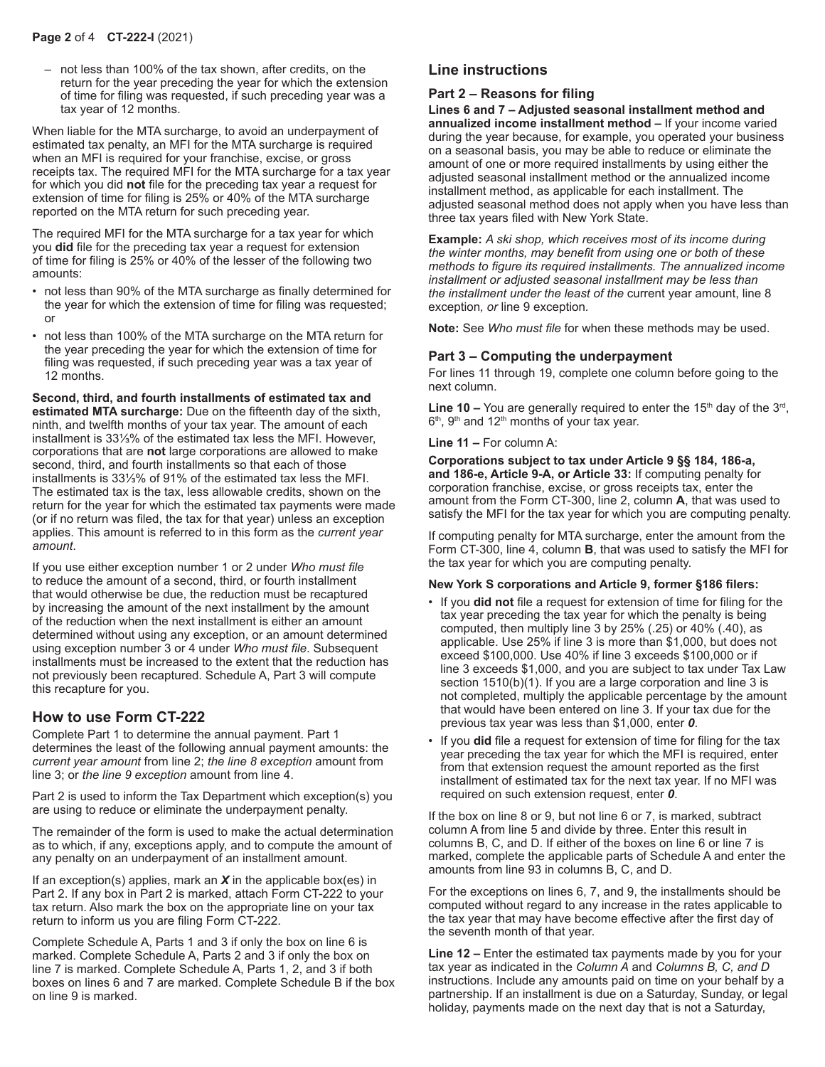– not less than 100% of the tax shown, after credits, on the return for the year preceding the year for which the extension of time for filing was requested, if such preceding year was a tax year of 12 months.

When liable for the MTA surcharge, to avoid an underpayment of estimated tax penalty, an MFI for the MTA surcharge is required when an MFI is required for your franchise, excise, or gross receipts tax. The required MFI for the MTA surcharge for a tax year for which you did **not** file for the preceding tax year a request for extension of time for filing is 25% or 40% of the MTA surcharge reported on the MTA return for such preceding year.

The required MFI for the MTA surcharge for a tax year for which you **did** file for the preceding tax year a request for extension of time for filing is 25% or 40% of the lesser of the following two amounts:

- not less than 90% of the MTA surcharge as finally determined for the year for which the extension of time for filing was requested; or
- not less than 100% of the MTA surcharge on the MTA return for the year preceding the year for which the extension of time for filing was requested, if such preceding year was a tax year of 12 months.

**Second, third, and fourth installments of estimated tax and estimated MTA surcharge:** Due on the fifteenth day of the sixth, ninth, and twelfth months of your tax year. The amount of each installment is 33⅓% of the estimated tax less the MFI. However, corporations that are **not** large corporations are allowed to make second, third, and fourth installments so that each of those installments is 33⅓% of 91% of the estimated tax less the MFI. The estimated tax is the tax, less allowable credits, shown on the return for the year for which the estimated tax payments were made (or if no return was filed, the tax for that year) unless an exception applies. This amount is referred to in this form as the *current year amount*.

If you use either exception number 1 or 2 under *Who must file* to reduce the amount of a second, third, or fourth installment that would otherwise be due, the reduction must be recaptured by increasing the amount of the next installment by the amount of the reduction when the next installment is either an amount determined without using any exception, or an amount determined using exception number 3 or 4 under *Who must file*. Subsequent installments must be increased to the extent that the reduction has not previously been recaptured. Schedule A, Part 3 will compute this recapture for you.

## **How to use Form CT-222**

Complete Part 1 to determine the annual payment. Part 1 determines the least of the following annual payment amounts: the *current year amount* from line 2; *the line 8 exception* amount from line 3; or *the line 9 exception* amount from line 4.

Part 2 is used to inform the Tax Department which exception(s) you are using to reduce or eliminate the underpayment penalty.

The remainder of the form is used to make the actual determination as to which, if any, exceptions apply, and to compute the amount of any penalty on an underpayment of an installment amount.

If an exception(s) applies, mark an *X* in the applicable box(es) in Part 2. If any box in Part 2 is marked, attach Form CT-222 to your tax return. Also mark the box on the appropriate line on your tax return to inform us you are filing Form CT-222.

Complete Schedule A, Parts 1 and 3 if only the box on line 6 is marked. Complete Schedule A, Parts 2 and 3 if only the box on line 7 is marked. Complete Schedule A, Parts 1, 2, and 3 if both boxes on lines 6 and 7 are marked. Complete Schedule B if the box on line 9 is marked.

## **Line instructions**

## **Part 2 – Reasons for filing**

**Lines 6 and 7 – Adjusted seasonal installment method and annualized income installment method –** If your income varied during the year because, for example, you operated your business on a seasonal basis, you may be able to reduce or eliminate the amount of one or more required installments by using either the adjusted seasonal installment method or the annualized income installment method, as applicable for each installment. The adjusted seasonal method does not apply when you have less than three tax years filed with New York State.

**Example:** *A ski shop, which receives most of its income during the winter months, may benefit from using one or both of these methods to figure its required installments. The annualized income installment or adjusted seasonal installment may be less than the installment under the least of the* current year amount, line 8 exception*, or* line 9 exception*.*

**Note:** See *Who must file* for when these methods may be used.

### **Part 3 – Computing the underpayment**

For lines 11 through 19, complete one column before going to the next column.

Line 10 – You are generally required to enter the 15<sup>th</sup> day of the 3<sup>rd</sup>,  $6<sup>th</sup>$ ,  $9<sup>th</sup>$  and  $12<sup>th</sup>$  months of your tax year.

#### **Line 11 –** For column A:

**Corporations subject to tax under Article 9 §§ 184, 186-a, and 186-e, Article 9-A, or Article 33:** If computing penalty for corporation franchise, excise, or gross receipts tax, enter the amount from the Form CT-300, line 2, column **A**, that was used to satisfy the MFI for the tax year for which you are computing penalty.

If computing penalty for MTA surcharge, enter the amount from the Form CT-300, line 4, column **B**, that was used to satisfy the MFI for the tax year for which you are computing penalty.

#### **New York S corporations and Article 9, former §186 filers:**

- If you **did not** file a request for extension of time for filing for the tax year preceding the tax year for which the penalty is being computed, then multiply line 3 by 25% (.25) or 40% (.40), as applicable. Use 25% if line 3 is more than \$1,000, but does not exceed \$100,000. Use 40% if line 3 exceeds \$100,000 or if line 3 exceeds \$1,000, and you are subject to tax under Tax Law section 1510(b)(1). If you are a large corporation and line 3 is not completed, multiply the applicable percentage by the amount that would have been entered on line 3. If your tax due for the previous tax year was less than \$1,000, enter *0*.
- If you **did** file a request for extension of time for filing for the tax year preceding the tax year for which the MFI is required, enter from that extension request the amount reported as the first installment of estimated tax for the next tax year. If no MFI was required on such extension request, enter *0*.

If the box on line 8 or 9, but not line 6 or 7, is marked, subtract column A from line 5 and divide by three. Enter this result in columns B, C, and D. If either of the boxes on line 6 or line 7 is marked, complete the applicable parts of Schedule A and enter the amounts from line 93 in columns B, C, and D.

For the exceptions on lines 6, 7, and 9, the installments should be computed without regard to any increase in the rates applicable to the tax year that may have become effective after the first day of the seventh month of that year.

**Line 12 –** Enter the estimated tax payments made by you for your tax year as indicated in the *Column A* and *Columns B, C, and D*  instructions. Include any amounts paid on time on your behalf by a partnership. If an installment is due on a Saturday, Sunday, or legal holiday, payments made on the next day that is not a Saturday,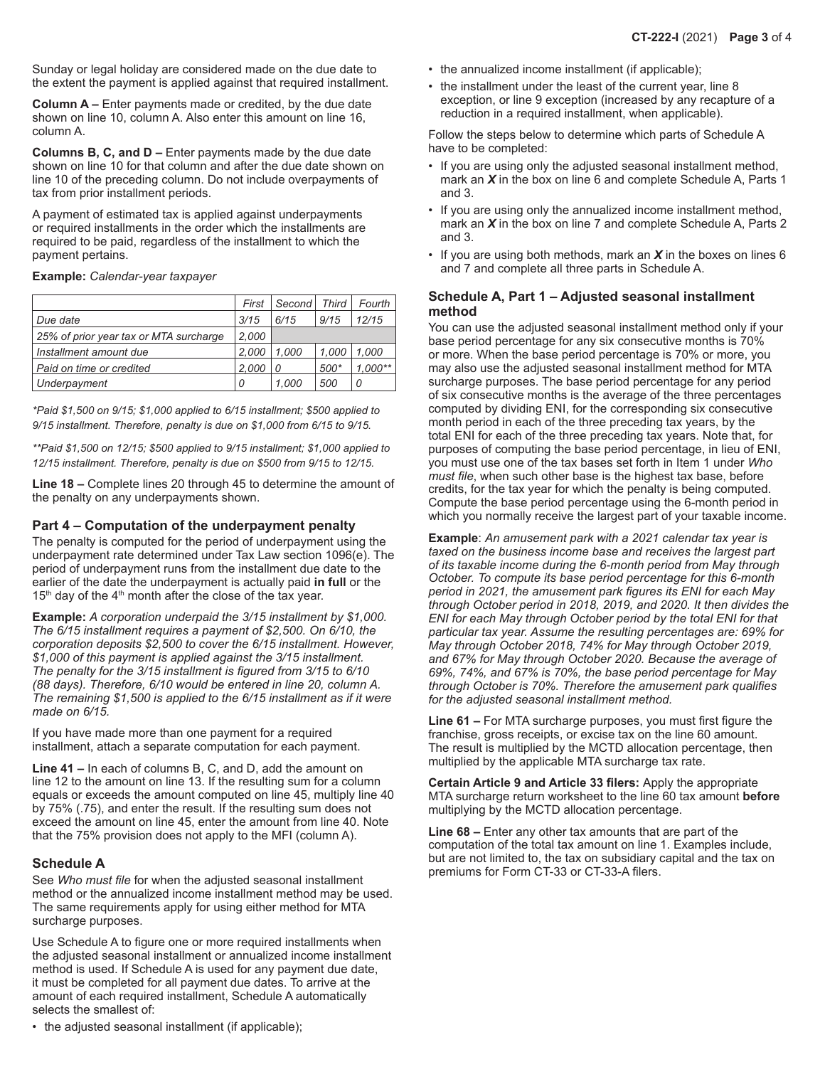Sunday or legal holiday are considered made on the due date to the extent the payment is applied against that required installment.

**Column A –** Enter payments made or credited, by the due date shown on line 10, column A. Also enter this amount on line 16, column A.

**Columns B, C, and D –** Enter payments made by the due date shown on line 10 for that column and after the due date shown on line 10 of the preceding column. Do not include overpayments of tax from prior installment periods.

A payment of estimated tax is applied against underpayments or required installments in the order which the installments are required to be paid, regardless of the installment to which the payment pertains.

**Example:** *Calendar-year taxpayer*

|                                        | First | Second | <b>Third</b> | Fourth    |
|----------------------------------------|-------|--------|--------------|-----------|
| Due date                               | 3/15  | 6/15   | 9/15         | 12/15     |
| 25% of prior year tax or MTA surcharge | 2,000 |        |              |           |
| Installment amount due                 | 2.000 | 1.000  | 1.000        | 1.000     |
| Paid on time or credited               | 2.000 | 0      | 500*         | $1.000**$ |
| Underpayment                           | 0     | 1.000  | 500          | 0         |

*\*Paid \$1,500 on 9/15; \$1,000 applied to 6/15 installment; \$500 applied to 9/15 installment. Therefore, penalty is due on \$1,000 from 6/15 to 9/15.*

*\*\*Paid \$1,500 on 12/15; \$500 applied to 9/15 installment; \$1,000 applied to 12/15 installment. Therefore, penalty is due on \$500 from 9/15 to 12/15.*

**Line 18 –** Complete lines 20 through 45 to determine the amount of the penalty on any underpayments shown.

### **Part 4 – Computation of the underpayment penalty**

The penalty is computed for the period of underpayment using the underpayment rate determined under Tax Law section 1096(e). The period of underpayment runs from the installment due date to the earlier of the date the underpayment is actually paid **in full** or the  $15<sup>th</sup>$  day of the  $4<sup>th</sup>$  month after the close of the tax year.

**Example:** *A corporation underpaid the 3/15 installment by \$1,000. The 6/15 installment requires a payment of \$2,500. On 6/10, the corporation deposits \$2,500 to cover the 6/15 installment. However, \$1,000 of this payment is applied against the 3/15 installment. The penalty for the 3/15 installment is figured from 3/15 to 6/10 (88 days). Therefore, 6/10 would be entered in line 20, column A. The remaining \$1,500 is applied to the 6/15 installment as if it were made on 6/15.*

If you have made more than one payment for a required installment, attach a separate computation for each payment.

**Line 41 –** In each of columns B, C, and D, add the amount on line 12 to the amount on line 13. If the resulting sum for a column equals or exceeds the amount computed on line 45, multiply line 40 by 75% (.75), and enter the result. If the resulting sum does not exceed the amount on line 45, enter the amount from line 40. Note that the 75% provision does not apply to the MFI (column A).

### **Schedule A**

See *Who must file* for when the adjusted seasonal installment method or the annualized income installment method may be used. The same requirements apply for using either method for MTA surcharge purposes.

Use Schedule A to figure one or more required installments when the adjusted seasonal installment or annualized income installment method is used. If Schedule A is used for any payment due date, it must be completed for all payment due dates. To arrive at the amount of each required installment, Schedule A automatically selects the smallest of:

- the annualized income installment (if applicable);
- the installment under the least of the current year, line 8 exception, or line 9 exception (increased by any recapture of a reduction in a required installment, when applicable).

Follow the steps below to determine which parts of Schedule A have to be completed:

- If you are using only the adjusted seasonal installment method, mark an *X* in the box on line 6 and complete Schedule A, Parts 1 and 3.
- If you are using only the annualized income installment method, mark an *X* in the box on line 7 and complete Schedule A, Parts 2 and 3.
- If you are using both methods, mark an *X* in the boxes on lines 6 and 7 and complete all three parts in Schedule A.

#### **Schedule A, Part 1 – Adjusted seasonal installment method**

You can use the adjusted seasonal installment method only if your base period percentage for any six consecutive months is 70% or more. When the base period percentage is 70% or more, you may also use the adjusted seasonal installment method for MTA surcharge purposes. The base period percentage for any period of six consecutive months is the average of the three percentages computed by dividing ENI, for the corresponding six consecutive month period in each of the three preceding tax years, by the total ENI for each of the three preceding tax years. Note that, for purposes of computing the base period percentage, in lieu of ENI, you must use one of the tax bases set forth in Item 1 under *Who must file*, when such other base is the highest tax base, before credits, for the tax year for which the penalty is being computed. Compute the base period percentage using the 6-month period in which you normally receive the largest part of your taxable income.

**Example**: *An amusement park with a 2021 calendar tax year is taxed on the business income base and receives the largest part of its taxable income during the 6-month period from May through October. To compute its base period percentage for this 6-month period in 2021, the amusement park figures its ENI for each May through October period in 2018, 2019, and 2020. It then divides the ENI for each May through October period by the total ENI for that particular tax year. Assume the resulting percentages are: 69% for May through October 2018, 74% for May through October 2019, and 67% for May through October 2020. Because the average of 69%, 74%, and 67% is 70%, the base period percentage for May through October is 70%. Therefore the amusement park qualifies for the adjusted seasonal installment method.*

**Line 61 –** For MTA surcharge purposes, you must first figure the franchise, gross receipts, or excise tax on the line 60 amount. The result is multiplied by the MCTD allocation percentage, then multiplied by the applicable MTA surcharge tax rate.

**Certain Article 9 and Article 33 filers:** Apply the appropriate MTA surcharge return worksheet to the line 60 tax amount **before** multiplying by the MCTD allocation percentage.

**Line 68 –** Enter any other tax amounts that are part of the computation of the total tax amount on line 1. Examples include, but are not limited to, the tax on subsidiary capital and the tax on premiums for Form CT-33 or CT-33-A filers.

• the adjusted seasonal installment (if applicable);